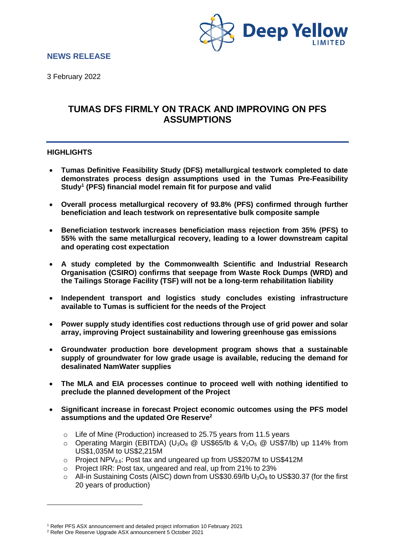

# **NEWS RELEASE**

3 February 2022

# **TUMAS DFS FIRMLY ON TRACK AND IMPROVING ON PFS ASSUMPTIONS**

### **HIGHLIGHTS**

- **Tumas Definitive Feasibility Study (DFS) metallurgical testwork completed to date demonstrates process design assumptions used in the Tumas Pre-Feasibility Study<sup>1</sup> (PFS) financial model remain fit for purpose and valid**
- **Overall process metallurgical recovery of 93.8% (PFS) confirmed through further beneficiation and leach testwork on representative bulk composite sample**
- **Beneficiation testwork increases beneficiation mass rejection from 35% (PFS) to 55% with the same metallurgical recovery, leading to a lower downstream capital and operating cost expectation**
- **A study completed by the Commonwealth Scientific and Industrial Research Organisation (CSIRO) confirms that seepage from Waste Rock Dumps (WRD) and the Tailings Storage Facility (TSF) will not be a long-term rehabilitation liability**
- **Independent transport and logistics study concludes existing infrastructure available to Tumas is sufficient for the needs of the Project**
- **Power supply study identifies cost reductions through use of grid power and solar array, improving Project sustainability and lowering greenhouse gas emissions**
- **Groundwater production bore development program shows that a sustainable supply of groundwater for low grade usage is available, reducing the demand for desalinated NamWater supplies**
- **The MLA and EIA processes continue to proceed well with nothing identified to preclude the planned development of the Project**
- **Significant increase in forecast Project economic outcomes using the PFS model assumptions and the updated Ore Reserve<sup>2</sup>**
	- o Life of Mine (Production) increased to 25.75 years from 11.5 years
	- $\circ$  Operating Margin (EBITDA) (U<sub>3</sub>O<sub>8</sub> @ US\$65/lb & V<sub>2</sub>O<sub>5</sub> @ US\$7/lb) up 114% from US\$1,035M to US\$2,215M
	- $\circ$  Project NPV $_{8.6}$ : Post tax and ungeared up from US\$207M to US\$412M
	- o Project IRR: Post tax, ungeared and real, up from 21% to 23%
	- $\circ$  All-in Sustaining Costs (AISC) down from US\$30.69/lb U<sub>3</sub>O<sub>8</sub> to US\$30.37 (for the first 20 years of production)

<sup>1</sup> Refer PFS ASX announcement and detailed project information 10 February 2021

<sup>2</sup> Refer Ore Reserve Upgrade ASX announcement 5 October 2021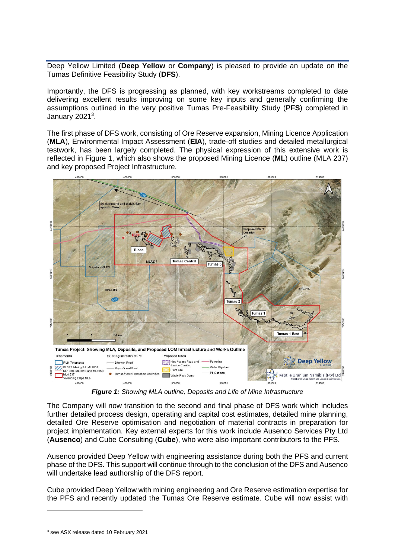Deep Yellow Limited (**Deep Yellow** or **Company**) is pleased to provide an update on the Tumas Definitive Feasibility Study (**DFS**).

Importantly, the DFS is progressing as planned, with key workstreams completed to date delivering excellent results improving on some key inputs and generally confirming the assumptions outlined in the very positive Tumas Pre-Feasibility Study (**PFS**) completed in January 2021<sup>3</sup>.

The first phase of DFS work, consisting of Ore Reserve expansion, Mining Licence Application (**MLA**), Environmental Impact Assessment (**EIA**), trade-off studies and detailed metallurgical testwork, has been largely completed. The physical expression of this extensive work is reflected in Figure 1, which also shows the proposed Mining Licence (**ML**) outline (MLA 237) and key proposed Project Infrastructure.



*Figure 1: Showing MLA outline, Deposits and Life of Mine Infrastructure*

The Company will now transition to the second and final phase of DFS work which includes further detailed process design, operating and capital cost estimates, detailed mine planning, detailed Ore Reserve optimisation and negotiation of material contracts in preparation for project implementation. Key external experts for this work include Ausenco Services Pty Ltd (**Ausenco**) and Cube Consulting (**Cube**), who were also important contributors to the PFS.

Ausenco provided Deep Yellow with engineering assistance during both the PFS and current phase of the DFS. This support will continue through to the conclusion of the DFS and Ausenco will undertake lead authorship of the DFS report.

Cube provided Deep Yellow with mining engineering and Ore Reserve estimation expertise for the PFS and recently updated the Tumas Ore Reserve estimate. Cube will now assist with

<sup>3</sup> see ASX release dated 10 February 2021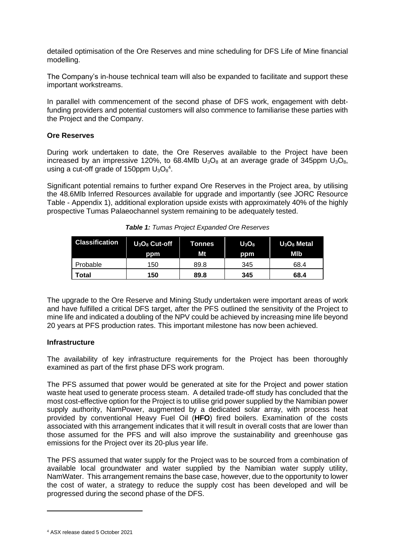detailed optimisation of the Ore Reserves and mine scheduling for DFS Life of Mine financial modelling.

The Company's in-house technical team will also be expanded to facilitate and support these important workstreams.

In parallel with commencement of the second phase of DFS work, engagement with debtfunding providers and potential customers will also commence to familiarise these parties with the Project and the Company.

### **Ore Reserves**

During work undertaken to date, the Ore Reserves available to the Project have been increased by an impressive 120%, to 68.4Mlb  $U_3O_8$  at an average grade of 345ppm  $U_3O_8$ , using a cut-off grade of 150ppm  $U_3O_8^4$ .

Significant potential remains to further expand Ore Reserves in the Project area, by utilising the 48.6Mlb Inferred Resources available for upgrade and importantly (see JORC Resource Table - Appendix 1), additional exploration upside exists with approximately 40% of the highly prospective Tumas Palaeochannel system remaining to be adequately tested.

| <b>Classification</b> | $U_3O_8$ Cut-off<br>ppm | Tonnes<br>Mt | $U_3O_8$<br>ppm | $U_3O_8$ Metal<br>MIb |  |
|-----------------------|-------------------------|--------------|-----------------|-----------------------|--|
| Probable              | 150                     | 89.8         | 345             | 68.4                  |  |
| Total                 | 150                     | 89.8         | 345             | 68.4                  |  |

*Table 1: Tumas Project Expanded Ore Reserves*

The upgrade to the Ore Reserve and Mining Study undertaken were important areas of work and have fulfilled a critical DFS target, after the PFS outlined the sensitivity of the Project to mine life and indicated a doubling of the NPV could be achieved by increasing mine life beyond 20 years at PFS production rates. This important milestone has now been achieved.

## **Infrastructure**

The availability of key infrastructure requirements for the Project has been thoroughly examined as part of the first phase DFS work program.

The PFS assumed that power would be generated at site for the Project and power station waste heat used to generate process steam. A detailed trade-off study has concluded that the most cost-effective option for the Project is to utilise grid power supplied by the Namibian power supply authority, NamPower, augmented by a dedicated solar array, with process heat provided by conventional Heavy Fuel Oil (**HFO**) fired boilers. Examination of the costs associated with this arrangement indicates that it will result in overall costs that are lower than those assumed for the PFS and will also improve the sustainability and greenhouse gas emissions for the Project over its 20-plus year life.

The PFS assumed that water supply for the Project was to be sourced from a combination of available local groundwater and water supplied by the Namibian water supply utility, NamWater. This arrangement remains the base case, however, due to the opportunity to lower the cost of water, a strategy to reduce the supply cost has been developed and will be progressed during the second phase of the DFS.

<sup>4</sup> ASX release dated 5 October 2021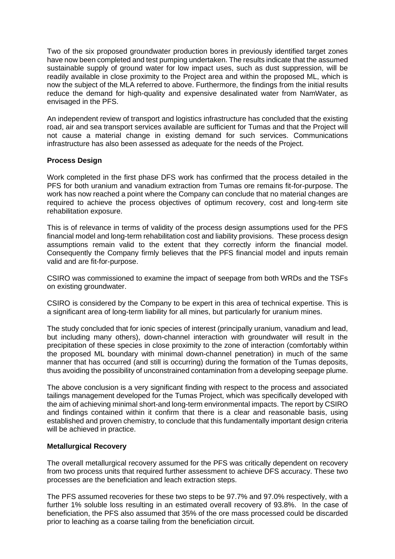Two of the six proposed groundwater production bores in previously identified target zones have now been completed and test pumping undertaken. The results indicate that the assumed sustainable supply of ground water for low impact uses, such as dust suppression, will be readily available in close proximity to the Project area and within the proposed ML, which is now the subject of the MLA referred to above. Furthermore, the findings from the initial results reduce the demand for high-quality and expensive desalinated water from NamWater, as envisaged in the PFS.

An independent review of transport and logistics infrastructure has concluded that the existing road, air and sea transport services available are sufficient for Tumas and that the Project will not cause a material change in existing demand for such services. Communications infrastructure has also been assessed as adequate for the needs of the Project.

### **Process Design**

Work completed in the first phase DFS work has confirmed that the process detailed in the PFS for both uranium and vanadium extraction from Tumas ore remains fit-for-purpose. The work has now reached a point where the Company can conclude that no material changes are required to achieve the process objectives of optimum recovery, cost and long-term site rehabilitation exposure.

This is of relevance in terms of validity of the process design assumptions used for the PFS financial model and long-term rehabilitation cost and liability provisions. These process design assumptions remain valid to the extent that they correctly inform the financial model. Consequently the Company firmly believes that the PFS financial model and inputs remain valid and are fit-for-purpose.

CSIRO was commissioned to examine the impact of seepage from both WRDs and the TSFs on existing groundwater.

CSIRO is considered by the Company to be expert in this area of technical expertise. This is a significant area of long-term liability for all mines, but particularly for uranium mines.

The study concluded that for ionic species of interest (principally uranium, vanadium and lead, but including many others), down-channel interaction with groundwater will result in the precipitation of these species in close proximity to the zone of interaction (comfortably within the proposed ML boundary with minimal down-channel penetration) in much of the same manner that has occurred (and still is occurring) during the formation of the Tumas deposits, thus avoiding the possibility of unconstrained contamination from a developing seepage plume.

The above conclusion is a very significant finding with respect to the process and associated tailings management developed for the Tumas Project, which was specifically developed with the aim of achieving minimal short-and long-term environmental impacts. The report by CSIRO and findings contained within it confirm that there is a clear and reasonable basis, using established and proven chemistry, to conclude that this fundamentally important design criteria will be achieved in practice.

### **Metallurgical Recovery**

The overall metallurgical recovery assumed for the PFS was critically dependent on recovery from two process units that required further assessment to achieve DFS accuracy. These two processes are the beneficiation and leach extraction steps.

The PFS assumed recoveries for these two steps to be 97.7% and 97.0% respectively, with a further 1% soluble loss resulting in an estimated overall recovery of 93.8%. In the case of beneficiation, the PFS also assumed that 35% of the ore mass processed could be discarded prior to leaching as a coarse tailing from the beneficiation circuit.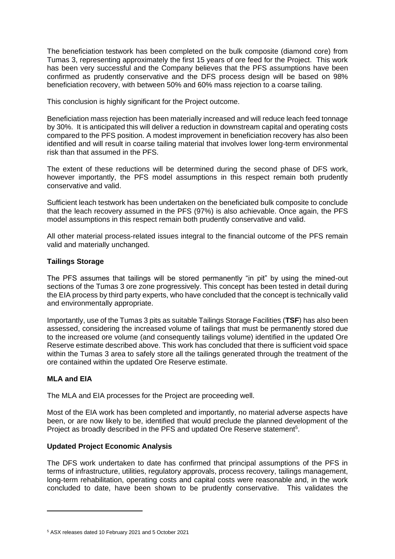The beneficiation testwork has been completed on the bulk composite (diamond core) from Tumas 3, representing approximately the first 15 years of ore feed for the Project. This work has been very successful and the Company believes that the PFS assumptions have been confirmed as prudently conservative and the DFS process design will be based on 98% beneficiation recovery, with between 50% and 60% mass rejection to a coarse tailing.

This conclusion is highly significant for the Project outcome.

Beneficiation mass rejection has been materially increased and will reduce leach feed tonnage by 30%. It is anticipated this will deliver a reduction in downstream capital and operating costs compared to the PFS position. A modest improvement in beneficiation recovery has also been identified and will result in coarse tailing material that involves lower long-term environmental risk than that assumed in the PFS.

The extent of these reductions will be determined during the second phase of DFS work, however importantly, the PFS model assumptions in this respect remain both prudently conservative and valid.

Sufficient leach testwork has been undertaken on the beneficiated bulk composite to conclude that the leach recovery assumed in the PFS (97%) is also achievable. Once again, the PFS model assumptions in this respect remain both prudently conservative and valid.

All other material process-related issues integral to the financial outcome of the PFS remain valid and materially unchanged.

# **Tailings Storage**

The PFS assumes that tailings will be stored permanently "in pit" by using the mined-out sections of the Tumas 3 ore zone progressively. This concept has been tested in detail during the EIA process by third party experts, who have concluded that the concept is technically valid and environmentally appropriate.

Importantly, use of the Tumas 3 pits as suitable Tailings Storage Facilities (**TSF**) has also been assessed, considering the increased volume of tailings that must be permanently stored due to the increased ore volume (and consequently tailings volume) identified in the updated Ore Reserve estimate described above. This work has concluded that there is sufficient void space within the Tumas 3 area to safely store all the tailings generated through the treatment of the ore contained within the updated Ore Reserve estimate.

## **MLA and EIA**

The MLA and EIA processes for the Project are proceeding well.

Most of the EIA work has been completed and importantly, no material adverse aspects have been, or are now likely to be, identified that would preclude the planned development of the Project as broadly described in the PFS and updated Ore Reserve statement<sup>5</sup>.

## **Updated Project Economic Analysis**

The DFS work undertaken to date has confirmed that principal assumptions of the PFS in terms of infrastructure, utilities, regulatory approvals, process recovery, tailings management, long-term rehabilitation, operating costs and capital costs were reasonable and, in the work concluded to date, have been shown to be prudently conservative. This validates the

<sup>5</sup> ASX releases dated 10 February 2021 and 5 October 2021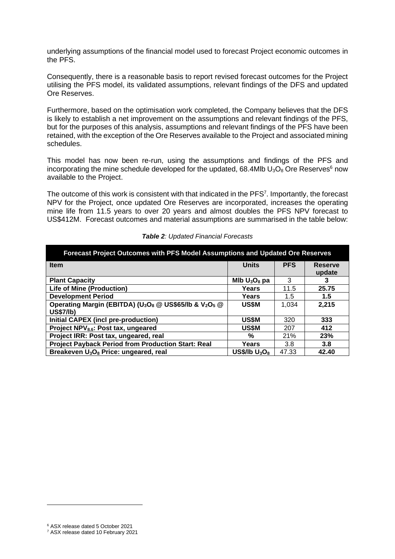underlying assumptions of the financial model used to forecast Project economic outcomes in the PFS.

Consequently, there is a reasonable basis to report revised forecast outcomes for the Project utilising the PFS model, its validated assumptions, relevant findings of the DFS and updated Ore Reserves.

Furthermore, based on the optimisation work completed, the Company believes that the DFS is likely to establish a net improvement on the assumptions and relevant findings of the PFS, but for the purposes of this analysis, assumptions and relevant findings of the PFS have been retained, with the exception of the Ore Reserves available to the Project and associated mining schedules.

This model has now been re-run, using the assumptions and findings of the PFS and incorporating the mine schedule developed for the updated, 68.4Mlb  $U_3O_8$  Ore Reserves<sup>6</sup> now available to the Project.

The outcome of this work is consistent with that indicated in the  $PFS<sup>7</sup>$ . Importantly, the forecast NPV for the Project, once updated Ore Reserves are incorporated, increases the operating mine life from 11.5 years to over 20 years and almost doubles the PFS NPV forecast to US\$412M. Forecast outcomes and material assumptions are summarised in the table below:

| Forecast Project Outcomes with PFS Model Assumptions and Updated Ore Reserves                          |                  |            |                          |  |  |  |
|--------------------------------------------------------------------------------------------------------|------------------|------------|--------------------------|--|--|--|
| <b>Item</b>                                                                                            | <b>Units</b>     | <b>PFS</b> | <b>Reserve</b><br>update |  |  |  |
| <b>Plant Capacity</b>                                                                                  | Mlb $U_3O_8$ pa  | 3          |                          |  |  |  |
| <b>Life of Mine (Production)</b>                                                                       | Years            | 11.5       | 25.75                    |  |  |  |
| <b>Development Period</b>                                                                              | Years            | 1.5        | 1.5                      |  |  |  |
| Operating Margin (EBITDA) (U <sub>3</sub> O <sub>8</sub> @ US\$65/lb & V <sub>2</sub> O <sub>5</sub> @ | <b>US\$M</b>     | 1.034      | 2,215                    |  |  |  |
| <b>US\$7/lb)</b>                                                                                       |                  |            |                          |  |  |  |
| Initial CAPEX (incl pre-production)                                                                    | US\$M            | 320        | 333                      |  |  |  |
| Project NPV <sub>8.6</sub> : Post tax, ungeared                                                        | US\$M            | 207        | 412                      |  |  |  |
| Project IRR: Post tax, ungeared, real                                                                  | %                | 21%        | 23%                      |  |  |  |
| <b>Project Payback Period from Production Start: Real</b>                                              | Years            | 3.8        | 3.8                      |  |  |  |
| Breakeven U <sub>3</sub> O <sub>8</sub> Price: ungeared, real                                          | US\$/lb $U_3O_8$ | 47.33      | 42.40                    |  |  |  |

#### *Table 2: Updated Financial Forecasts*

<sup>6</sup> ASX release dated 5 October 2021

<sup>7</sup> ASX release dated 10 February 2021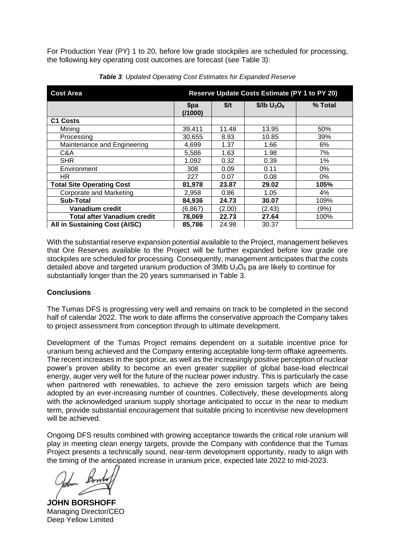For Production Year (PY) 1 to 20, before low grade stockpiles are scheduled for processing, the following key operating cost outcomes are forecast (see Table 3):

| Reserve Update Costs Estimate (PY 1 to PY 20)<br><b>Cost Area</b> |                 |        |                 |         |  |
|-------------------------------------------------------------------|-----------------|--------|-----------------|---------|--|
|                                                                   | \$pa<br>(11000) | \$/t   | $$/lb$ $U_3O_8$ | % Total |  |
| C <sub>1</sub> Costs                                              |                 |        |                 |         |  |
| Mining                                                            | 39,411          | 11.48  | 13.95           | 50%     |  |
| Processing                                                        | 30.655          | 8.93   | 10.85           | 39%     |  |
| Maintenance and Engineering                                       | 4,699           | 1.37   | 1.66            | 6%      |  |
| C&A                                                               | 5,586           | 1.63   | 1.98            | 7%      |  |
| <b>SHR</b>                                                        | 1,092           | 0.32   | 0.39            | 1%      |  |
| Environment                                                       | 308             | 0.09   | 0.11            | 0%      |  |
| HR.                                                               | 227             | 0.07   | 0.08            | 0%      |  |
| <b>Total Site Operating Cost</b>                                  | 81,978          | 23.87  | 29.02           | 105%    |  |
| <b>Corporate and Marketing</b>                                    | 2,958           | 0.86   | 1.05            | 4%      |  |
| Sub-Total                                                         | 84,936          | 24.73  | 30.07           | 109%    |  |
| Vanadium credit                                                   | (6,867)         | (2.00) | (2.43)          | (9%)    |  |
| <b>Total after Vanadium credit</b>                                | 78,069          | 22.73  | 27.64           | 100%    |  |
| All in Sustaining Cost (AISC)                                     | 85,786          | 24.98  | 30.37           |         |  |

*Table 3: Updated Operating Cost Estimates for Expanded Reserve*

With the substantial reserve expansion potential available to the Project, management believes that Ore Reserves available to the Project will be further expanded before low grade ore stockpiles are scheduled for processing. Consequently, management anticipates that the costs detailed above and targeted uranium production of  $3$ Mlb  $U_3O_8$  pa are likely to continue for substantially longer than the 20 years summarised in Table 3.

## **Conclusions**

The Tumas DFS is progressing very well and remains on track to be completed in the second half of calendar 2022. The work to date affirms the conservative approach the Company takes to project assessment from conception through to ultimate development.

Development of the Tumas Project remains dependent on a suitable incentive price for uranium being achieved and the Company entering acceptable long-term offtake agreements. The recent increases in the spot price, as well as the increasingly positive perception of nuclear power's proven ability to become an even greater supplier of global base-load electrical energy, auger very well for the future of the nuclear power industry. This is particularly the case when partnered with renewables, to achieve the zero emission targets which are being adopted by an ever-increasing number of countries. Collectively, these developments along with the acknowledged uranium supply shortage anticipated to occur in the near to medium term, provide substantial encouragement that suitable pricing to incentivise new development will be achieved.

Ongoing DFS results combined with growing acceptance towards the critical role uranium will play in meeting clean energy targets, provide the Company with confidence that the Tumas Project presents a technically sound, near-term development opportunity, ready to align with the timing of the anticipated increase in uranium price, expected late 2022 to mid-2023.

**JOHN BORSHOFF** Managing Director/CEO Deep Yellow Limited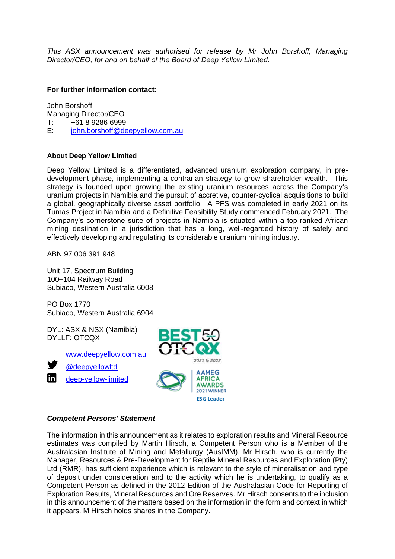*This ASX announcement was authorised for release by Mr John Borshoff, Managing Director/CEO, for and on behalf of the Board of Deep Yellow Limited.*

### **For further information contact:**

John Borshoff Managing Director/CEO<br>T: +61 8 9286 6999 +61 8 9286 6999 E: [john.borshoff@deepyellow.com.au](mailto:john.borshoff@deepyellow.com.au)

### **About Deep Yellow Limited**

Deep Yellow Limited is a differentiated, advanced uranium exploration company, in predevelopment phase, implementing a contrarian strategy to grow shareholder wealth. This strategy is founded upon growing the existing uranium resources across the Company's uranium projects in Namibia and the pursuit of accretive, counter-cyclical acquisitions to build a global, geographically diverse asset portfolio. A PFS was completed in early 2021 on its Tumas Project in Namibia and a Definitive Feasibility Study commenced February 2021. The Company's cornerstone suite of projects in Namibia is situated within a top-ranked African mining destination in a jurisdiction that has a long, well-regarded history of safely and effectively developing and regulating its considerable uranium mining industry.

ABN 97 006 391 948

Unit 17, Spectrum Building 100–104 Railway Road Subiaco, Western Australia 6008

PO Box 1770 Subiaco, Western Australia 6904

DYL: ASX & NSX (Namibia) DYLLF: OTCQX

[www.deepyellow.com.au](http://www.deepyellow.com.au/)



[@deepyellowltd](http://twitter.com/DeepYellowLtd)

[deep-yellow-limited](https://www.linkedin.com/company/deep-yellow-limited/)



## *Competent Persons' Statement*

The information in this announcement as it relates to exploration results and Mineral Resource estimates was compiled by Martin Hirsch, a Competent Person who is a Member of the Australasian Institute of Mining and Metallurgy (AusIMM). Mr Hirsch, who is currently the Manager, Resources & Pre-Development for Reptile Mineral Resources and Exploration (Pty) Ltd (RMR), has sufficient experience which is relevant to the style of mineralisation and type of deposit under consideration and to the activity which he is undertaking, to qualify as a Competent Person as defined in the 2012 Edition of the Australasian Code for Reporting of Exploration Results, Mineral Resources and Ore Reserves. Mr Hirsch consents to the inclusion in this announcement of the matters based on the information in the form and context in which it appears. M Hirsch holds shares in the Company.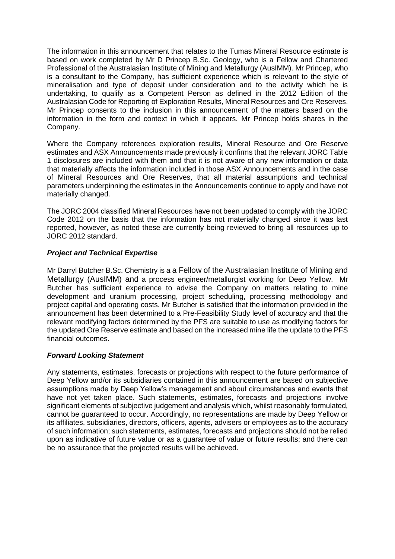The information in this announcement that relates to the Tumas Mineral Resource estimate is based on work completed by Mr D Princep B.Sc. Geology, who is a Fellow and Chartered Professional of the Australasian Institute of Mining and Metallurgy (AusIMM). Mr Princep, who is a consultant to the Company, has sufficient experience which is relevant to the style of mineralisation and type of deposit under consideration and to the activity which he is undertaking, to qualify as a Competent Person as defined in the 2012 Edition of the Australasian Code for Reporting of Exploration Results, Mineral Resources and Ore Reserves. Mr Princep consents to the inclusion in this announcement of the matters based on the information in the form and context in which it appears. Mr Princep holds shares in the Company.

Where the Company references exploration results, Mineral Resource and Ore Reserve estimates and ASX Announcements made previously it confirms that the relevant JORC Table 1 disclosures are included with them and that it is not aware of any new information or data that materially affects the information included in those ASX Announcements and in the case of Mineral Resources and Ore Reserves, that all material assumptions and technical parameters underpinning the estimates in the Announcements continue to apply and have not materially changed.

The JORC 2004 classified Mineral Resources have not been updated to comply with the JORC Code 2012 on the basis that the information has not materially changed since it was last reported, however, as noted these are currently being reviewed to bring all resources up to JORC 2012 standard.

# *Project and Technical Expertise*

Mr Darryl Butcher B.Sc. Chemistry is a a Fellow of the Australasian Institute of Mining and Metallurgy (AusIMM) and a process engineer/metallurgist working for Deep Yellow. Mr Butcher has sufficient experience to advise the Company on matters relating to mine development and uranium processing, project scheduling, processing methodology and project capital and operating costs. Mr Butcher is satisfied that the information provided in the announcement has been determined to a Pre-Feasibility Study level of accuracy and that the relevant modifying factors determined by the PFS are suitable to use as modifying factors for the updated Ore Reserve estimate and based on the increased mine life the update to the PFS financial outcomes.

# *Forward Looking Statement*

Any statements, estimates, forecasts or projections with respect to the future performance of Deep Yellow and/or its subsidiaries contained in this announcement are based on subjective assumptions made by Deep Yellow's management and about circumstances and events that have not yet taken place. Such statements, estimates, forecasts and projections involve significant elements of subjective judgement and analysis which, whilst reasonably formulated, cannot be guaranteed to occur. Accordingly, no representations are made by Deep Yellow or its affiliates, subsidiaries, directors, officers, agents, advisers or employees as to the accuracy of such information; such statements, estimates, forecasts and projections should not be relied upon as indicative of future value or as a guarantee of value or future results; and there can be no assurance that the projected results will be achieved.